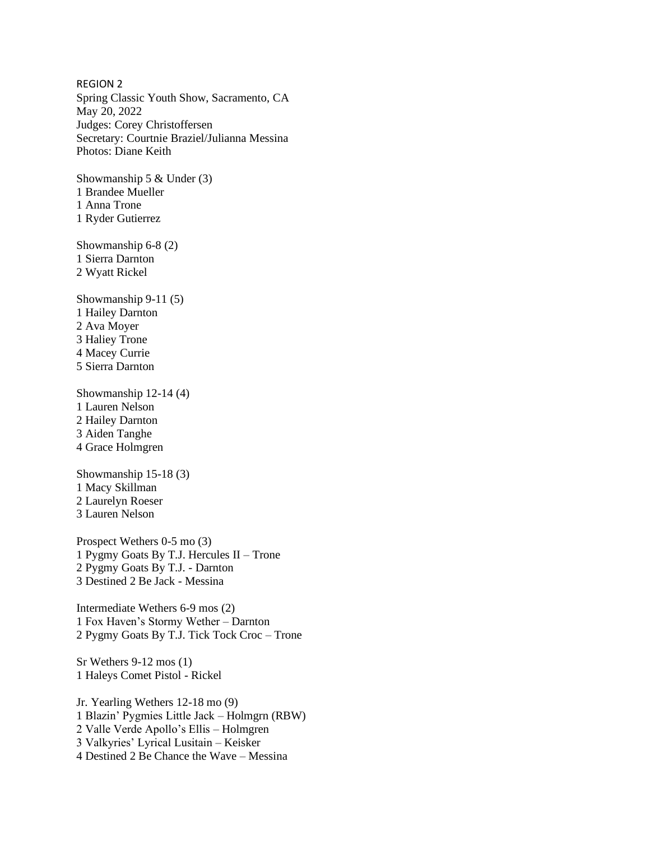REGION 2 Spring Classic Youth Show, Sacramento, CA May 20, 2022 Judges: Corey Christoffersen Secretary: Courtnie Braziel/Julianna Messina Photos: Diane Keith

Showmanship 5 & Under (3) 1 Brandee Mueller 1 Anna Trone 1 Ryder Gutierrez

Showmanship 6-8 (2) 1 Sierra Darnton 2 Wyatt Rickel

Showmanship 9-11 (5) 1 Hailey Darnton 2 Ava Moyer 3 Haliey Trone 4 Macey Currie 5 Sierra Darnton

Showmanship 12-14 (4) 1 Lauren Nelson 2 Hailey Darnton 3 Aiden Tanghe 4 Grace Holmgren

Showmanship 15-18 (3) 1 Macy Skillman 2 Laurelyn Roeser 3 Lauren Nelson

Prospect Wethers 0-5 mo (3) 1 Pygmy Goats By T.J. Hercules II – Trone 2 Pygmy Goats By T.J. - Darnton 3 Destined 2 Be Jack - Messina

Intermediate Wethers 6-9 mos (2) 1 Fox Haven's Stormy Wether – Darnton 2 Pygmy Goats By T.J. Tick Tock Croc – Trone

Sr Wethers 9-12 mos (1) 1 Haleys Comet Pistol - Rickel

Jr. Yearling Wethers 12-18 mo (9) 1 Blazin' Pygmies Little Jack – Holmgrn (RBW) 2 Valle Verde Apollo's Ellis – Holmgren 3 Valkyries' Lyrical Lusitain – Keisker 4 Destined 2 Be Chance the Wave – Messina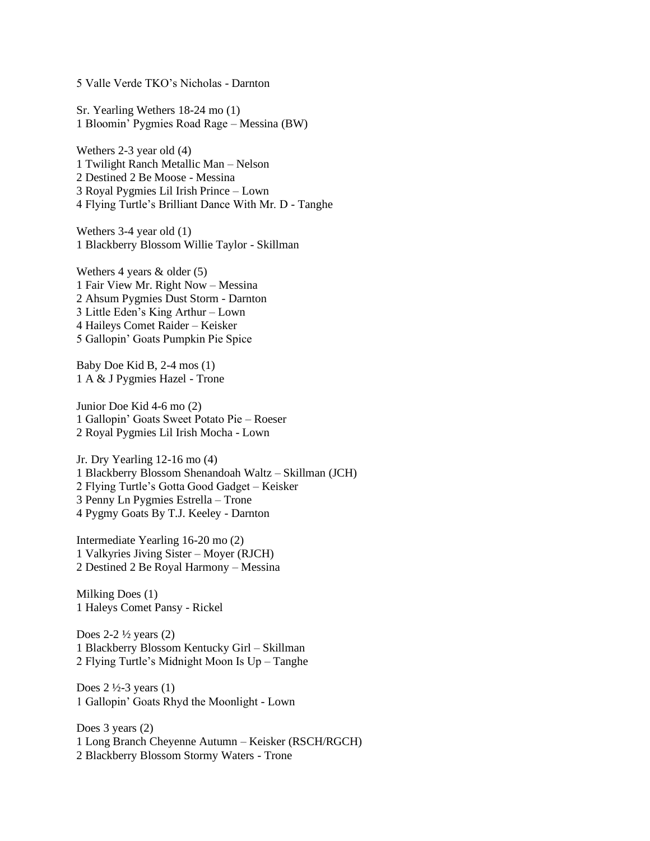5 Valle Verde TKO's Nicholas - Darnton

Sr. Yearling Wethers 18-24 mo (1) 1 Bloomin' Pygmies Road Rage – Messina (BW)

Wethers 2-3 year old (4) 1 Twilight Ranch Metallic Man – Nelson 2 Destined 2 Be Moose - Messina 3 Royal Pygmies Lil Irish Prince – Lown 4 Flying Turtle's Brilliant Dance With Mr. D - Tanghe

Wethers 3-4 year old (1) 1 Blackberry Blossom Willie Taylor - Skillman

Wethers 4 years & older (5) 1 Fair View Mr. Right Now – Messina 2 Ahsum Pygmies Dust Storm - Darnton 3 Little Eden's King Arthur – Lown 4 Haileys Comet Raider – Keisker 5 Gallopin' Goats Pumpkin Pie Spice

Baby Doe Kid B, 2-4 mos (1) 1 A & J Pygmies Hazel - Trone

Junior Doe Kid 4-6 mo (2) 1 Gallopin' Goats Sweet Potato Pie – Roeser 2 Royal Pygmies Lil Irish Mocha - Lown

Jr. Dry Yearling 12-16 mo (4) 1 Blackberry Blossom Shenandoah Waltz – Skillman (JCH) 2 Flying Turtle's Gotta Good Gadget – Keisker 3 Penny Ln Pygmies Estrella – Trone 4 Pygmy Goats By T.J. Keeley - Darnton

Intermediate Yearling 16-20 mo (2) 1 Valkyries Jiving Sister – Moyer (RJCH) 2 Destined 2 Be Royal Harmony – Messina

Milking Does (1) 1 Haleys Comet Pansy - Rickel

Does  $2-2\frac{1}{2}$  years  $(2)$ 1 Blackberry Blossom Kentucky Girl – Skillman 2 Flying Turtle's Midnight Moon Is Up – Tanghe

Does  $2\frac{1}{2}$ -3 years (1) 1 Gallopin' Goats Rhyd the Moonlight - Lown

Does 3 years (2) 1 Long Branch Cheyenne Autumn – Keisker (RSCH/RGCH) 2 Blackberry Blossom Stormy Waters - Trone